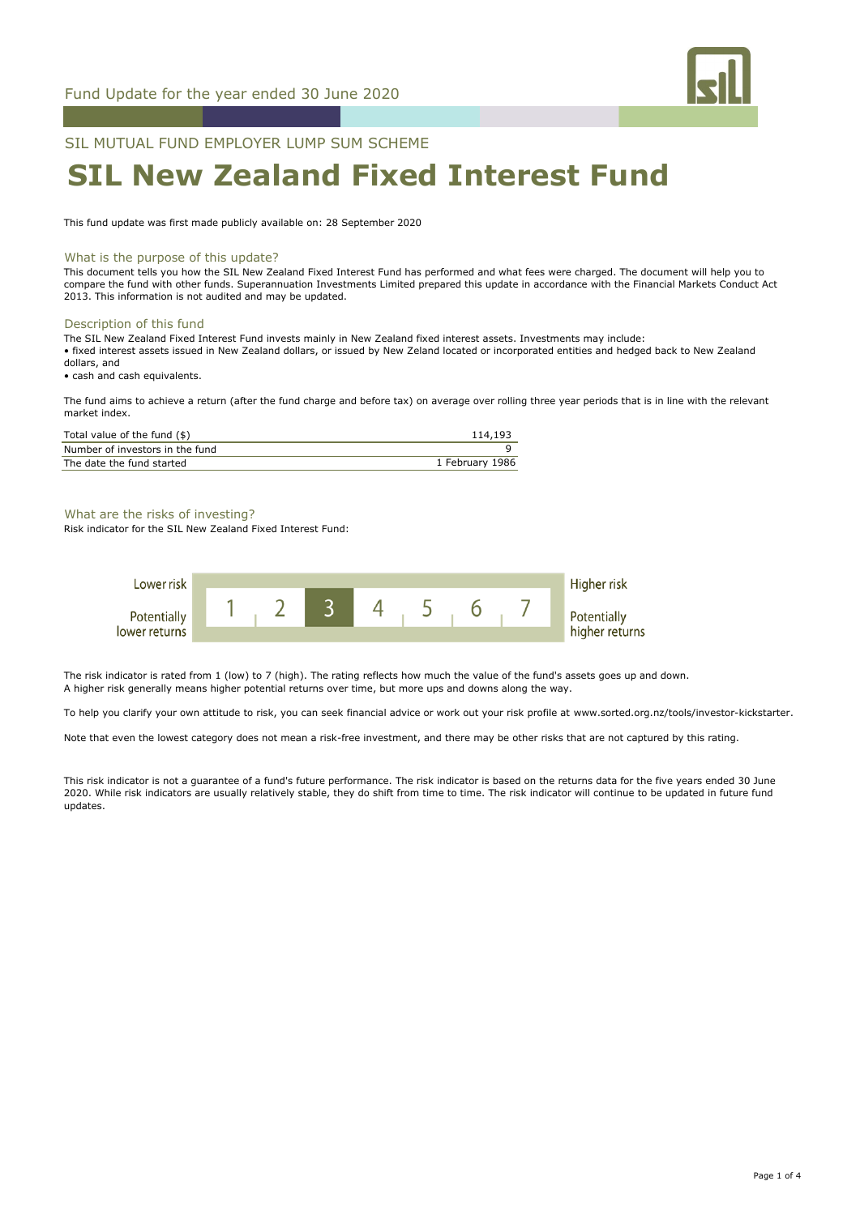

SIL MUTUAL FUND EMPLOYER LUMP SUM SCHEME

# **SIL New Zealand Fixed Interest Fund**

This fund update was first made publicly available on: 28 September 2020

#### What is the purpose of this update?

This document tells you how the SIL New Zealand Fixed Interest Fund has performed and what fees were charged. The document will help you to compare the fund with other funds. Superannuation Investments Limited prepared this update in accordance with the Financial Markets Conduct Act 2013. This information is not audited and may be updated.

#### Description of this fund

The SIL New Zealand Fixed Interest Fund invests mainly in New Zealand fixed interest assets. Investments may include: • fixed interest assets issued in New Zealand dollars, or issued by New Zeland located or incorporated entities and hedged back to New Zealand dollars, and

• cash and cash equivalents.

The fund aims to achieve a return (after the fund charge and before tax) on average over rolling three year periods that is in line with the relevant market index.

| Total value of the fund (\$)    | 114,193         |
|---------------------------------|-----------------|
| Number of investors in the fund |                 |
| The date the fund started       | 1 February 1986 |

#### What are the risks of investing?

Risk indicator for the SIL New Zealand Fixed Interest Fund:



The risk indicator is rated from 1 (low) to 7 (high). The rating reflects how much the value of the fund's assets goes up and down. A higher risk generally means higher potential returns over time, but more ups and downs along the way.

To help you clarify your own attitude to risk, you can seek financial advice or work out your risk profile at www.sorted.org.nz/tools/investor-kickstarter.

Note that even the lowest category does not mean a risk-free investment, and there may be other risks that are not captured by this rating.

This risk indicator is not a guarantee of a fund's future performance. The risk indicator is based on the returns data for the five years ended 30 June 2020. While risk indicators are usually relatively stable, they do shift from time to time. The risk indicator will continue to be updated in future fund updates.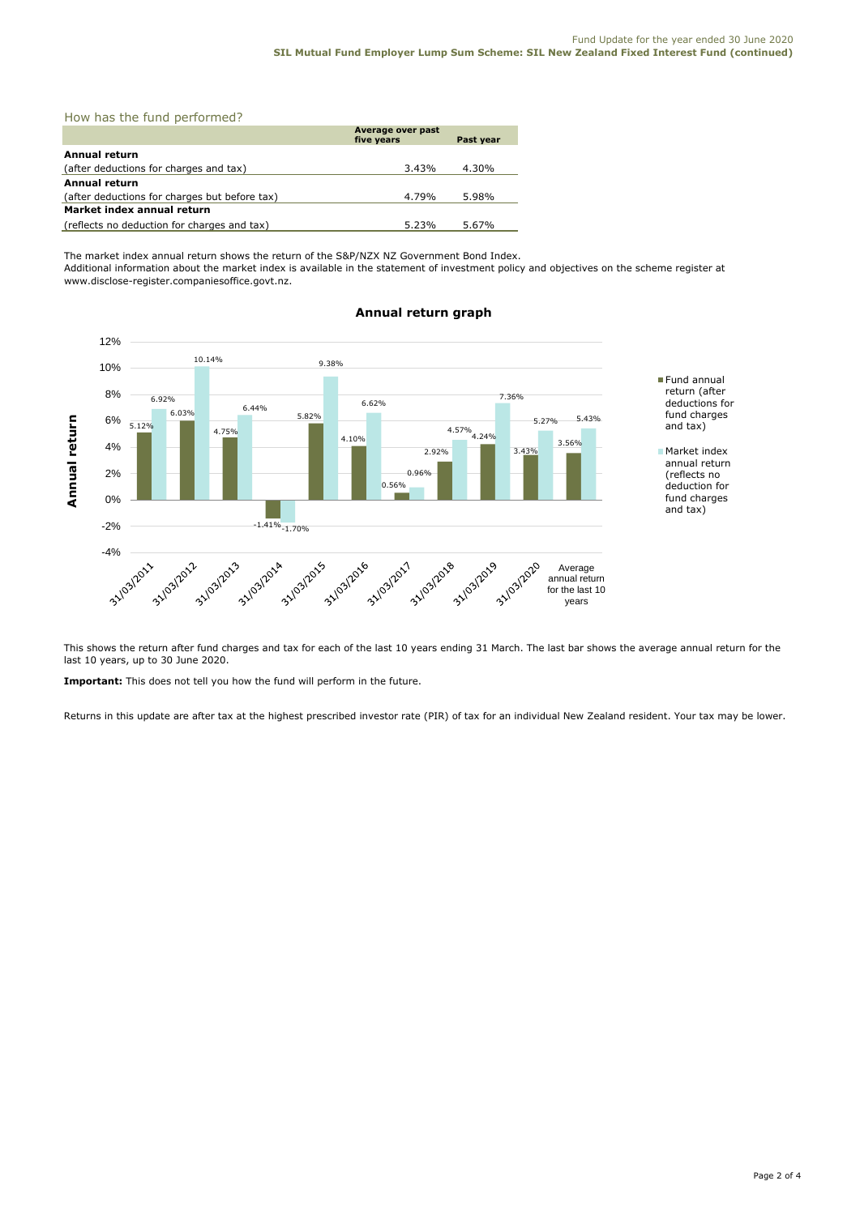| How has the fund performed? |  |  |  |  |
|-----------------------------|--|--|--|--|
|-----------------------------|--|--|--|--|

|                                               | Average over past<br>five years | <b>Past vear</b> |  |  |
|-----------------------------------------------|---------------------------------|------------------|--|--|
| Annual return                                 |                                 |                  |  |  |
| (after deductions for charges and tax)        | 3.43%                           | 4.30%            |  |  |
| <b>Annual return</b>                          |                                 |                  |  |  |
| (after deductions for charges but before tax) | 4.79%                           | 5.98%            |  |  |
| Market index annual return                    |                                 |                  |  |  |
| (reflects no deduction for charges and tax)   | 5.23%                           | 5.67%            |  |  |

The market index annual return shows the return of the S&P/NZX NZ Government Bond Index.

Additional information about the market index is available in the statement of investment policy and objectives on the scheme register at www.disclose-register.companiesoffice.govt.nz.



## **Annual return graph**

This shows the return after fund charges and tax for each of the last 10 years ending 31 March. The last bar shows the average annual return for the last 10 years, up to 30 June 2020.

**Important:** This does not tell you how the fund will perform in the future.

Returns in this update are after tax at the highest prescribed investor rate (PIR) of tax for an individual New Zealand resident. Your tax may be lower.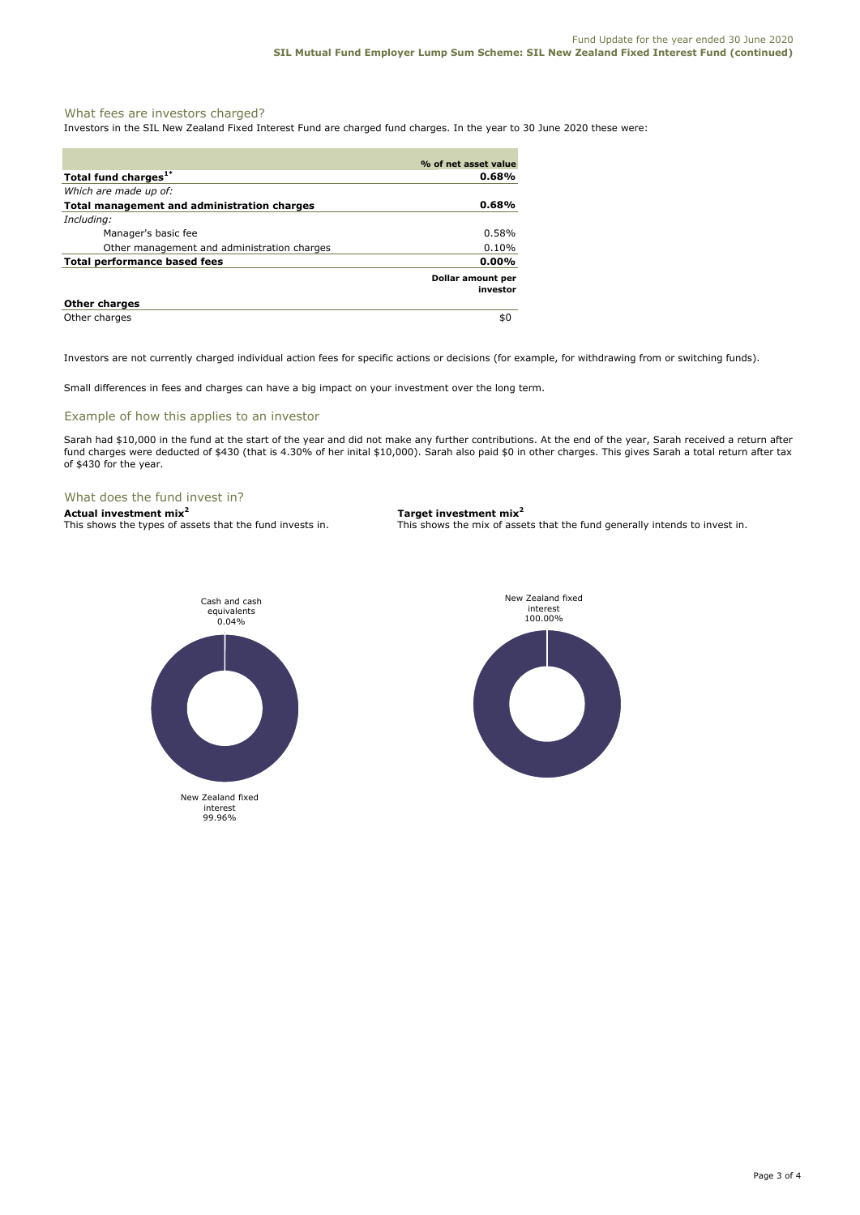#### What fees are investors charged?

Investors in the SIL New Zealand Fixed Interest Fund are charged fund charges. In the year to 30 June 2020 these were:

|                                             | % of net asset value          |
|---------------------------------------------|-------------------------------|
| Total fund charges <sup>1*</sup>            | 0.68%                         |
| Which are made up of:                       |                               |
| Total management and administration charges | $0.68\%$                      |
| Including:                                  |                               |
| Manager's basic fee                         | $0.58\%$                      |
| Other management and administration charges | 0.10%                         |
| Total performance based fees                | $0.00\%$                      |
|                                             | Dollar amount per<br>investor |
| <b>Other charges</b>                        |                               |
| Other charges                               | \$0                           |

Investors are not currently charged individual action fees for specific actions or decisions (for example, for withdrawing from or switching funds).

Small differences in fees and charges can have a big impact on your investment over the long term.

#### Example of how this applies to an investor

Sarah had \$10,000 in the fund at the start of the year and did not make any further contributions. At the end of the year, Sarah received a return after fund charges were deducted of \$430 (that is 4.30% of her inital \$10,000). Sarah also paid \$0 in other charges. This gives Sarah a total return after tax of \$430 for the year.

#### What does the fund invest in?

**Actual investment mix<sup>2</sup> <b>Target investment mix**<sup>2</sup> **This shows the types of assets that the fund invests in.** This shows the mix of assets

This shows the mix of assets that the fund generally intends to invest in.